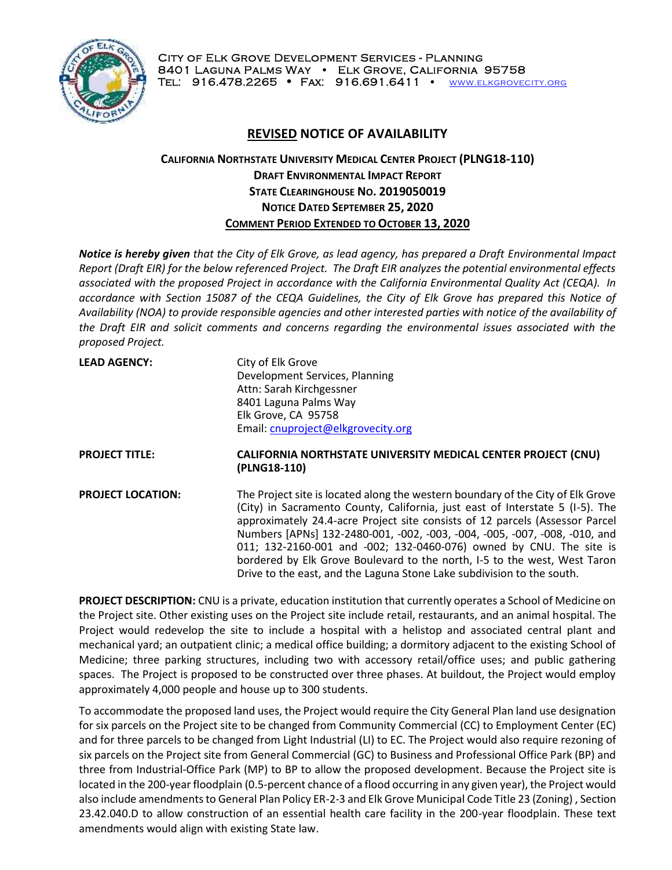

## **REVISED NOTICE OF AVAILABILITY**

## **CALIFORNIA NORTHSTATE UNIVERSITY MEDICAL CENTER PROJECT (PLNG18-110) DRAFT ENVIRONMENTAL IMPACT REPORT STATE CLEARINGHOUSE NO. 2019050019 NOTICE DATED SEPTEMBER 25, 2020 COMMENT PERIOD EXTENDED TO OCTOBER 13, 2020**

*Notice is hereby given that the City of Elk Grove, as lead agency, has prepared a Draft Environmental Impact Report (Draft EIR) for the below referenced Project. The Draft EIR analyzes the potential environmental effects associated with the proposed Project in accordance with the California Environmental Quality Act (CEQA). In accordance with Section 15087 of the CEQA Guidelines, the City of Elk Grove has prepared this Notice of Availability (NOA) to provide responsible agencies and other interested parties with notice of the availability of the Draft EIR and solicit comments and concerns regarding the environmental issues associated with the proposed Project.*

| <b>LEAD AGENCY:</b>      | City of Elk Grove<br>Development Services, Planning<br>Attn: Sarah Kirchgessner<br>8401 Laguna Palms Way                                                                                                                                                                                                                                                                                                                                                                                                                                                     |
|--------------------------|--------------------------------------------------------------------------------------------------------------------------------------------------------------------------------------------------------------------------------------------------------------------------------------------------------------------------------------------------------------------------------------------------------------------------------------------------------------------------------------------------------------------------------------------------------------|
|                          | Elk Grove, CA 95758<br>Email: cnuproject@elkgrovecity.org                                                                                                                                                                                                                                                                                                                                                                                                                                                                                                    |
| <b>PROJECT TITLE:</b>    | CALIFORNIA NORTHSTATE UNIVERSITY MEDICAL CENTER PROJECT (CNU)<br>(PLNG18-110)                                                                                                                                                                                                                                                                                                                                                                                                                                                                                |
| <b>PROJECT LOCATION:</b> | The Project site is located along the western boundary of the City of Elk Grove<br>(City) in Sacramento County, California, just east of Interstate 5 (I-5). The<br>approximately 24.4-acre Project site consists of 12 parcels (Assessor Parcel<br>Numbers [APNs] 132-2480-001, -002, -003, -004, -005, -007, -008, -010, and<br>011; 132-2160-001 and -002; 132-0460-076) owned by CNU. The site is<br>bordered by Elk Grove Boulevard to the north, I-5 to the west, West Taron<br>Drive to the east, and the Laguna Stone Lake subdivision to the south. |

**PROJECT DESCRIPTION:** CNU is a private, education institution that currently operates a School of Medicine on the Project site. Other existing uses on the Project site include retail, restaurants, and an animal hospital. The Project would redevelop the site to include a hospital with a helistop and associated central plant and mechanical yard; an outpatient clinic; a medical office building; a dormitory adjacent to the existing School of Medicine; three parking structures, including two with accessory retail/office uses; and public gathering spaces. The Project is proposed to be constructed over three phases. At buildout, the Project would employ approximately 4,000 people and house up to 300 students.

To accommodate the proposed land uses, the Project would require the City General Plan land use designation for six parcels on the Project site to be changed from Community Commercial (CC) to Employment Center (EC) and for three parcels to be changed from Light Industrial (LI) to EC. The Project would also require rezoning of six parcels on the Project site from General Commercial (GC) to Business and Professional Office Park (BP) and three from Industrial-Office Park (MP) to BP to allow the proposed development. Because the Project site is located in the 200-year floodplain (0.5-percent chance of a flood occurring in any given year), the Project would also include amendments to General Plan Policy ER-2-3 and Elk Grove Municipal Code Title 23 (Zoning) , Section 23.42.040.D to allow construction of an essential health care facility in the 200-year floodplain. These text amendments would align with existing State law.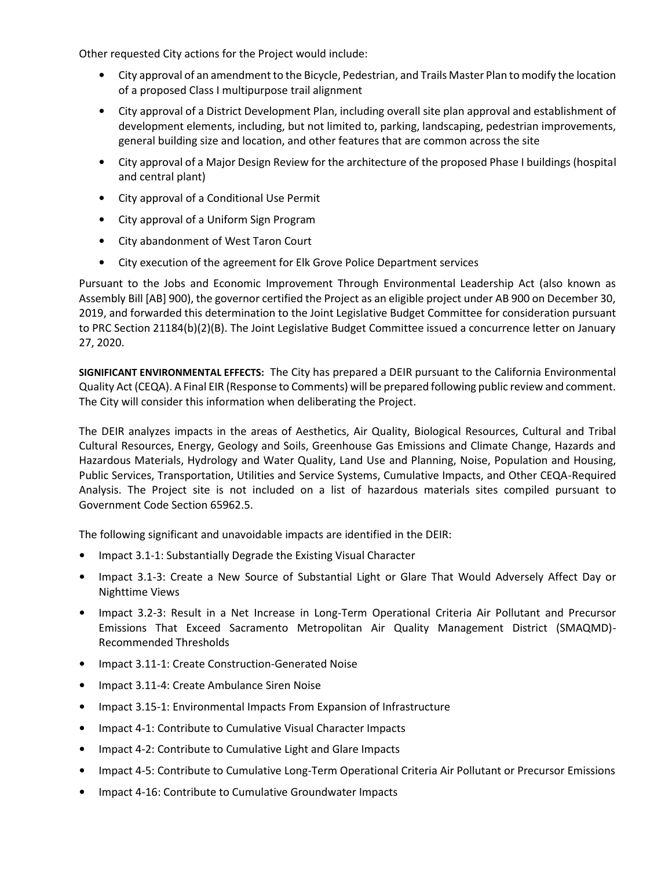Other requested City actions for the Project would include:

- City approval of an amendment to the Bicycle, Pedestrian, and Trails Master Plan to modify the location of a proposed Class I multipurpose trail alignment
- City approval of a District Development Plan, including overall site plan approval and establishment of development elements, including, but not limited to, parking, landscaping, pedestrian improvements, general building size and location, and other features that are common across the site
- City approval of a Major Design Review for the architecture of the proposed Phase I buildings (hospital and central plant)
- City approval of a Conditional Use Permit
- City approval of a Uniform Sign Program
- City abandonment of West Taron Court
- City execution of the agreement for Elk Grove Police Department services

Pursuant to the Jobs and Economic Improvement Through Environmental Leadership Act (also known as Assembly Bill [AB] 900), the governor certified the Project as an eligible project under AB 900 on December 30, 2019, and forwarded this determination to the Joint Legislative Budget Committee for consideration pursuant to PRC Section 21184(b)(2)(B). The Joint Legislative Budget Committee issued a concurrence letter on January 27, 2020.

**SIGNIFICANT ENVIRONMENTAL EFFECTS:** The City has prepared a DEIR pursuant to the California Environmental Quality Act (CEQA). A Final EIR (Response to Comments) will be prepared following public review and comment. The City will consider this information when deliberating the Project.

The DEIR analyzes impacts in the areas of Aesthetics, Air Quality, Biological Resources, Cultural and Tribal Cultural Resources, Energy, Geology and Soils, Greenhouse Gas Emissions and Climate Change, Hazards and Hazardous Materials, Hydrology and Water Quality, Land Use and Planning, Noise, Population and Housing, Public Services, Transportation, Utilities and Service Systems, Cumulative Impacts, and Other CEQA-Required Analysis. The Project site is not included on a list of hazardous materials sites compiled pursuant to Government Code Section 65962.5.

The following significant and unavoidable impacts are identified in the DEIR:

- Impact 3.1-1: Substantially Degrade the Existing Visual Character
- Impact 3.1-3: Create a New Source of Substantial Light or Glare That Would Adversely Affect Day or Nighttime Views
- Impact 3.2-3: Result in a Net Increase in Long-Term Operational Criteria Air Pollutant and Precursor Emissions That Exceed Sacramento Metropolitan Air Quality Management District (SMAQMD)- Recommended Thresholds
- Impact 3.11-1: Create Construction-Generated Noise
- Impact 3.11-4: Create Ambulance Siren Noise
- Impact 3.15-1: Environmental Impacts From Expansion of Infrastructure
- Impact 4-1: Contribute to Cumulative Visual Character Impacts
- Impact 4-2: Contribute to Cumulative Light and Glare Impacts
- Impact 4-5: Contribute to Cumulative Long-Term Operational Criteria Air Pollutant or Precursor Emissions
- Impact 4-16: Contribute to Cumulative Groundwater Impacts